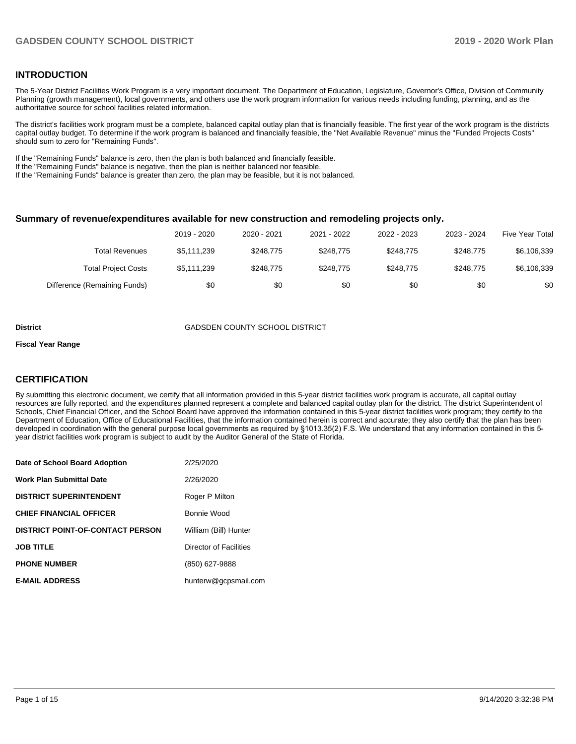### **INTRODUCTION**

The 5-Year District Facilities Work Program is a very important document. The Department of Education, Legislature, Governor's Office, Division of Community Planning (growth management), local governments, and others use the work program information for various needs including funding, planning, and as the authoritative source for school facilities related information.

The district's facilities work program must be a complete, balanced capital outlay plan that is financially feasible. The first year of the work program is the districts capital outlay budget. To determine if the work program is balanced and financially feasible, the "Net Available Revenue" minus the "Funded Projects Costs" should sum to zero for "Remaining Funds".

If the "Remaining Funds" balance is zero, then the plan is both balanced and financially feasible.

If the "Remaining Funds" balance is negative, then the plan is neither balanced nor feasible.

If the "Remaining Funds" balance is greater than zero, the plan may be feasible, but it is not balanced.

#### **Summary of revenue/expenditures available for new construction and remodeling projects only.**

|                              | 2019 - 2020 | 2020 - 2021 | 2021 - 2022 | 2022 - 2023 | 2023 - 2024 | Five Year Total |
|------------------------------|-------------|-------------|-------------|-------------|-------------|-----------------|
| Total Revenues               | \$5,111,239 | \$248.775   | \$248.775   | \$248.775   | \$248.775   | \$6,106,339     |
| <b>Total Project Costs</b>   | \$5,111,239 | \$248.775   | \$248.775   | \$248.775   | \$248.775   | \$6,106,339     |
| Difference (Remaining Funds) | \$0         | \$0         | \$0         | \$0         | \$0         | \$0             |

#### **District** GADSDEN COUNTY SCHOOL DISTRICT

#### **Fiscal Year Range**

### **CERTIFICATION**

By submitting this electronic document, we certify that all information provided in this 5-year district facilities work program is accurate, all capital outlay resources are fully reported, and the expenditures planned represent a complete and balanced capital outlay plan for the district. The district Superintendent of Schools, Chief Financial Officer, and the School Board have approved the information contained in this 5-year district facilities work program; they certify to the Department of Education, Office of Educational Facilities, that the information contained herein is correct and accurate; they also certify that the plan has been developed in coordination with the general purpose local governments as required by §1013.35(2) F.S. We understand that any information contained in this 5 year district facilities work program is subject to audit by the Auditor General of the State of Florida.

| Date of School Board Adoption           | 2/25/2020              |
|-----------------------------------------|------------------------|
| Work Plan Submittal Date                | 2/26/2020              |
| <b>DISTRICT SUPERINTENDENT</b>          | Roger P Milton         |
| <b>CHIEF FINANCIAL OFFICER</b>          | Bonnie Wood            |
| <b>DISTRICT POINT-OF-CONTACT PERSON</b> | William (Bill) Hunter  |
| <b>JOB TITLE</b>                        | Director of Facilities |
| <b>PHONE NUMBER</b>                     | (850) 627-9888         |
| <b>E-MAIL ADDRESS</b>                   | hunterw@gcpsmail.com   |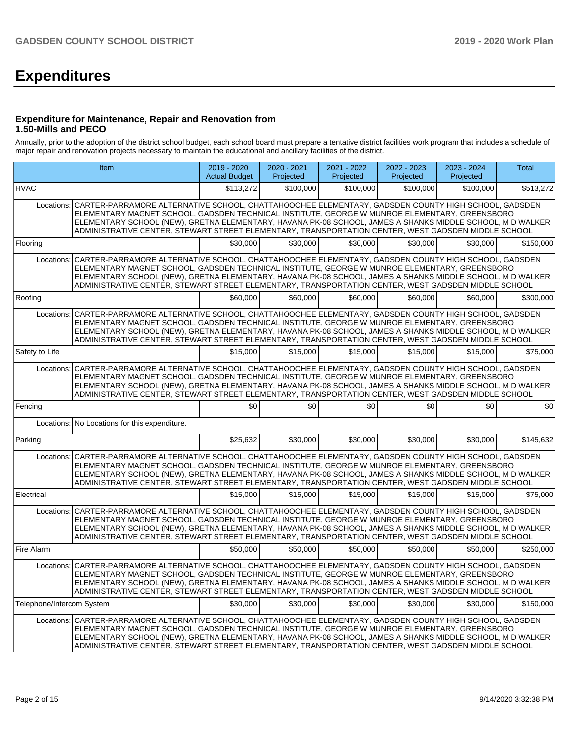# **Expenditures**

#### **Expenditure for Maintenance, Repair and Renovation from 1.50-Mills and PECO**

Annually, prior to the adoption of the district school budget, each school board must prepare a tentative district facilities work program that includes a schedule of major repair and renovation projects necessary to maintain the educational and ancillary facilities of the district.

|                           | Item                                                                                                                                                                                                                                                                                                                                                                                                                               | 2019 - 2020<br><b>Actual Budget</b> | 2020 - 2021<br>Projected | 2021 - 2022<br>Projected | 2022 - 2023<br>Projected | 2023 - 2024<br>Projected | <b>Total</b> |
|---------------------------|------------------------------------------------------------------------------------------------------------------------------------------------------------------------------------------------------------------------------------------------------------------------------------------------------------------------------------------------------------------------------------------------------------------------------------|-------------------------------------|--------------------------|--------------------------|--------------------------|--------------------------|--------------|
| <b>HVAC</b>               |                                                                                                                                                                                                                                                                                                                                                                                                                                    | \$113,272                           | \$100,000                | \$100,000                | \$100,000                | \$100.000                | \$513,272    |
| Locations:                | CARTER-PARRAMORE ALTERNATIVE SCHOOL, CHATTAHOOCHEE ELEMENTARY, GADSDEN COUNTY HIGH SCHOOL, GADSDEN<br>ELEMENTARY MAGNET SCHOOL, GADSDEN TECHNICAL INSTITUTE, GEORGE W MUNROE ELEMENTARY, GREENSBORO<br>ELEMENTARY SCHOOL (NEW), GRETNA ELEMENTARY, HAVANA PK-08 SCHOOL, JAMES A SHANKS MIDDLE SCHOOL, M D WALKER<br>ADMINISTRATIVE CENTER, STEWART STREET ELEMENTARY, TRANSPORTATION CENTER, WEST GADSDEN MIDDLE SCHOOL            |                                     |                          |                          |                          |                          |              |
| Flooring                  |                                                                                                                                                                                                                                                                                                                                                                                                                                    | \$30,000                            | \$30,000                 | \$30,000                 | \$30,000                 | \$30,000                 | \$150,000    |
|                           | Locations: CARTER-PARRAMORE ALTERNATIVE SCHOOL, CHATTAHOOCHEE ELEMENTARY, GADSDEN COUNTY HIGH SCHOOL, GADSDEN<br>ELEMENTARY MAGNET SCHOOL. GADSDEN TECHNICAL INSTITUTE. GEORGE W MUNROE ELEMENTARY. GREENSBORO<br>ELEMENTARY SCHOOL (NEW), GRETNA ELEMENTARY, HAVANA PK-08 SCHOOL, JAMES A SHANKS MIDDLE SCHOOL, M D WALKER<br>ADMINISTRATIVE CENTER, STEWART STREET ELEMENTARY, TRANSPORTATION CENTER, WEST GADSDEN MIDDLE SCHOOL |                                     |                          |                          |                          |                          |              |
| Roofing                   |                                                                                                                                                                                                                                                                                                                                                                                                                                    | \$60,000                            | \$60,000                 | \$60,000                 | \$60,000                 | \$60,000                 | \$300,000    |
|                           | Locations: CARTER-PARRAMORE ALTERNATIVE SCHOOL, CHATTAHOOCHEE ELEMENTARY, GADSDEN COUNTY HIGH SCHOOL, GADSDEN<br>ELEMENTARY MAGNET SCHOOL, GADSDEN TECHNICAL INSTITUTE, GEORGE W MUNROE ELEMENTARY, GREENSBORO<br>ELEMENTARY SCHOOL (NEW), GRETNA ELEMENTARY, HAVANA PK-08 SCHOOL, JAMES A SHANKS MIDDLE SCHOOL, M D WALKER<br>ADMINISTRATIVE CENTER, STEWART STREET ELEMENTARY, TRANSPORTATION CENTER, WEST GADSDEN MIDDLE SCHOOL |                                     |                          |                          |                          |                          |              |
| Safety to Life            |                                                                                                                                                                                                                                                                                                                                                                                                                                    | \$15,000                            | \$15,000                 | \$15,000                 | \$15,000                 | \$15,000                 | \$75,000     |
| Locations:                | CARTER-PARRAMORE ALTERNATIVE SCHOOL, CHATTAHOOCHEE ELEMENTARY, GADSDEN COUNTY HIGH SCHOOL, GADSDEN<br>ELEMENTARY MAGNET SCHOOL, GADSDEN TECHNICAL INSTITUTE, GEORGE W MUNROE ELEMENTARY, GREENSBORO<br>ELEMENTARY SCHOOL (NEW), GRETNA ELEMENTARY, HAVANA PK-08 SCHOOL, JAMES A SHANKS MIDDLE SCHOOL, M D WALKER<br>ADMINISTRATIVE CENTER, STEWART STREET ELEMENTARY, TRANSPORTATION CENTER, WEST GADSDEN MIDDLE SCHOOL            |                                     |                          |                          |                          |                          |              |
| Fencing                   |                                                                                                                                                                                                                                                                                                                                                                                                                                    | \$0                                 | \$0                      | \$0                      | \$0                      | \$0                      | \$0          |
|                           | Locations: No Locations for this expenditure.                                                                                                                                                                                                                                                                                                                                                                                      |                                     |                          |                          |                          |                          |              |
| Parking                   |                                                                                                                                                                                                                                                                                                                                                                                                                                    | \$25,632                            | \$30,000                 | \$30,000                 | \$30,000                 | \$30,000                 | \$145,632    |
|                           | Locations: CARTER-PARRAMORE ALTERNATIVE SCHOOL, CHATTAHOOCHEE ELEMENTARY, GADSDEN COUNTY HIGH SCHOOL, GADSDEN<br>ELEMENTARY MAGNET SCHOOL, GADSDEN TECHNICAL INSTITUTE, GEORGE W MUNROE ELEMENTARY, GREENSBORO<br>ELEMENTARY SCHOOL (NEW), GRETNA ELEMENTARY, HAVANA PK-08 SCHOOL, JAMES A SHANKS MIDDLE SCHOOL, M D WALKER<br>ADMINISTRATIVE CENTER, STEWART STREET ELEMENTARY, TRANSPORTATION CENTER, WEST GADSDEN MIDDLE SCHOOL |                                     |                          |                          |                          |                          |              |
| Electrical                |                                                                                                                                                                                                                                                                                                                                                                                                                                    | \$15,000                            | \$15,000                 | \$15,000                 | \$15,000                 | \$15,000                 | \$75,000     |
|                           | Locations: CARTER-PARRAMORE ALTERNATIVE SCHOOL, CHATTAHOOCHEE ELEMENTARY, GADSDEN COUNTY HIGH SCHOOL, GADSDEN<br>ELEMENTARY MAGNET SCHOOL, GADSDEN TECHNICAL INSTITUTE, GEORGE W MUNROE ELEMENTARY, GREENSBORO<br>ELEMENTARY SCHOOL (NEW), GRETNA ELEMENTARY, HAVANA PK-08 SCHOOL, JAMES A SHANKS MIDDLE SCHOOL, M D WALKER<br>ADMINISTRATIVE CENTER, STEWART STREET ELEMENTARY, TRANSPORTATION CENTER, WEST GADSDEN MIDDLE SCHOOL |                                     |                          |                          |                          |                          |              |
| Fire Alarm                |                                                                                                                                                                                                                                                                                                                                                                                                                                    | \$50,000                            | \$50,000                 | \$50,000                 | \$50,000                 | \$50,000                 | \$250,000    |
|                           | Locations: CARTER-PARRAMORE ALTERNATIVE SCHOOL, CHATTAHOOCHEE ELEMENTARY, GADSDEN COUNTY HIGH SCHOOL, GADSDEN<br>ELEMENTARY MAGNET SCHOOL, GADSDEN TECHNICAL INSTITUTE, GEORGE W MUNROE ELEMENTARY, GREENSBORO<br>ELEMENTARY SCHOOL (NEW), GRETNA ELEMENTARY, HAVANA PK-08 SCHOOL, JAMES A SHANKS MIDDLE SCHOOL, M D WALKER<br>ADMINISTRATIVE CENTER, STEWART STREET ELEMENTARY, TRANSPORTATION CENTER, WEST GADSDEN MIDDLE SCHOOL |                                     |                          |                          |                          |                          |              |
| Telephone/Intercom System |                                                                                                                                                                                                                                                                                                                                                                                                                                    | \$30,000                            | \$30,000                 | \$30,000                 | \$30,000                 | \$30,000                 | \$150,000    |
|                           | Locations: CARTER-PARRAMORE ALTERNATIVE SCHOOL, CHATTAHOOCHEE ELEMENTARY, GADSDEN COUNTY HIGH SCHOOL, GADSDEN<br>ELEMENTARY MAGNET SCHOOL, GADSDEN TECHNICAL INSTITUTE, GEORGE W MUNROE ELEMENTARY, GREENSBORO<br>ELEMENTARY SCHOOL (NEW), GRETNA ELEMENTARY, HAVANA PK-08 SCHOOL, JAMES A SHANKS MIDDLE SCHOOL, M D WALKER<br>ADMINISTRATIVE CENTER, STEWART STREET ELEMENTARY, TRANSPORTATION CENTER, WEST GADSDEN MIDDLE SCHOOL |                                     |                          |                          |                          |                          |              |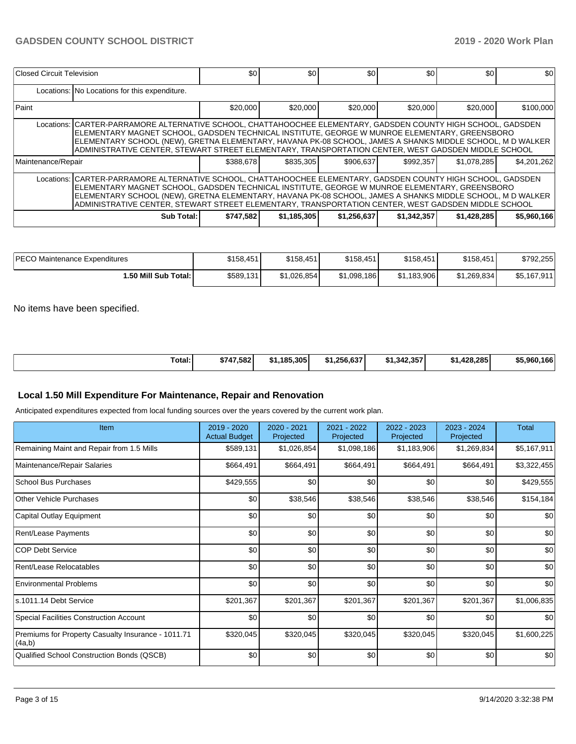| Closed Circuit Television                                                                                                                                                                                                                                                                                                                                                                                                          |                                                                                                                                                                                                                                                                                                                                                                                                                                       | \$0       | \$0         | \$0         | \$0         | \$0         | \$0         |  |  |
|------------------------------------------------------------------------------------------------------------------------------------------------------------------------------------------------------------------------------------------------------------------------------------------------------------------------------------------------------------------------------------------------------------------------------------|---------------------------------------------------------------------------------------------------------------------------------------------------------------------------------------------------------------------------------------------------------------------------------------------------------------------------------------------------------------------------------------------------------------------------------------|-----------|-------------|-------------|-------------|-------------|-------------|--|--|
|                                                                                                                                                                                                                                                                                                                                                                                                                                    | Locations: No Locations for this expenditure.                                                                                                                                                                                                                                                                                                                                                                                         |           |             |             |             |             |             |  |  |
| Paint                                                                                                                                                                                                                                                                                                                                                                                                                              |                                                                                                                                                                                                                                                                                                                                                                                                                                       | \$20,000  | \$20,000    | \$20,000    | \$20,000    | \$20,000    | \$100,000   |  |  |
|                                                                                                                                                                                                                                                                                                                                                                                                                                    | Locations:   CARTER-PARRAMORE ALTERNATIVE SCHOOL, CHATTAHOOCHEE ELEMENTARY, GADSDEN COUNTY HIGH SCHOOL, GADSDEN<br>IELEMENTARY MAGNET SCHOOL, GADSDEN TECHNICAL INSTITUTE, GEORGE W MUNROE ELEMENTARY, GREENSBORO<br>ELEMENTARY SCHOOL (NEW), GRETNA ELEMENTARY, HAVANA PK-08 SCHOOL, JAMES A SHANKS MIDDLE SCHOOL, M D WALKER<br>ADMINISTRATIVE CENTER, STEWART STREET ELEMENTARY, TRANSPORTATION CENTER, WEST GADSDEN MIDDLE SCHOOL |           |             |             |             |             |             |  |  |
| Maintenance/Repair                                                                                                                                                                                                                                                                                                                                                                                                                 |                                                                                                                                                                                                                                                                                                                                                                                                                                       | \$388.678 | \$835,305   | \$906,637   | \$992.357   | \$1,078,285 | \$4,201,262 |  |  |
| Locations: CARTER-PARRAMORE ALTERNATIVE SCHOOL, CHATTAHOOCHEE ELEMENTARY, GADSDEN COUNTY HIGH SCHOOL, GADSDEN<br>ELEMENTARY MAGNET SCHOOL, GADSDEN TECHNICAL INSTITUTE, GEORGE W MUNROE ELEMENTARY, GREENSBORO<br>ELEMENTARY SCHOOL (NEW), GRETNA ELEMENTARY, HAVANA PK-08 SCHOOL, JAMES A SHANKS MIDDLE SCHOOL, M D WALKER<br>ADMINISTRATIVE CENTER, STEWART STREET ELEMENTARY, TRANSPORTATION CENTER, WEST GADSDEN MIDDLE SCHOOL |                                                                                                                                                                                                                                                                                                                                                                                                                                       |           |             |             |             |             |             |  |  |
|                                                                                                                                                                                                                                                                                                                                                                                                                                    | Sub Total:                                                                                                                                                                                                                                                                                                                                                                                                                            | \$747.582 | \$1,185,305 | \$1,256,637 | \$1,342,357 | \$1,428,285 | \$5,960,166 |  |  |

| <b>IPECO Maintenance Expenditures</b> | \$158,451 | \$158.451   | \$158,451   | \$158,451   | \$158,451   | \$792,255   |
|---------------------------------------|-----------|-------------|-------------|-------------|-------------|-------------|
| 1.50 Mill Sub Total: I                | \$589,131 | \$1.026.854 | \$1,098,186 | \$1,183,906 | \$1,269,834 | \$5,167,911 |

No items have been specified.

| Total: | \$747.582 | .185.305<br>-12 1 | \$1.256.637 | $*1.342.357$ | .428.285 l<br><b>CA</b><br>-13 | .166<br>\$5.960. |
|--------|-----------|-------------------|-------------|--------------|--------------------------------|------------------|
|--------|-----------|-------------------|-------------|--------------|--------------------------------|------------------|

### **Local 1.50 Mill Expenditure For Maintenance, Repair and Renovation**

Anticipated expenditures expected from local funding sources over the years covered by the current work plan.

| Item                                                         | 2019 - 2020<br><b>Actual Budget</b> | 2020 - 2021<br>Projected | 2021 - 2022<br>Projected | 2022 - 2023<br>Projected | 2023 - 2024<br>Projected | Total       |
|--------------------------------------------------------------|-------------------------------------|--------------------------|--------------------------|--------------------------|--------------------------|-------------|
| Remaining Maint and Repair from 1.5 Mills                    | \$589,131                           | \$1,026,854              | \$1,098,186              | \$1,183,906              | \$1,269,834              | \$5,167,911 |
| Maintenance/Repair Salaries                                  | \$664,491                           | \$664,491                | \$664,491                | \$664,491                | \$664,491                | \$3,322,455 |
| School Bus Purchases                                         | \$429,555                           | \$0                      | \$0                      | \$0                      | \$0                      | \$429,555   |
| Other Vehicle Purchases                                      | \$0                                 | \$38,546                 | \$38,546                 | \$38,546                 | \$38,546                 | \$154,184   |
| Capital Outlay Equipment                                     | \$0                                 | \$0                      | \$0                      | \$0                      | \$0                      | \$0         |
| Rent/Lease Payments                                          | \$0                                 | \$0                      | \$0                      | \$0                      | \$0                      | \$0         |
| <b>COP Debt Service</b>                                      | \$0                                 | \$0                      | \$0                      | \$0                      | \$0                      | \$0         |
| Rent/Lease Relocatables                                      | \$0                                 | \$0                      | \$0                      | \$0                      | \$0                      | \$0         |
| <b>Environmental Problems</b>                                | \$0                                 | \$0                      | \$0                      | \$0                      | \$0                      | \$0         |
| s.1011.14 Debt Service                                       | \$201,367                           | \$201,367                | \$201,367                | \$201,367                | \$201,367                | \$1,006,835 |
| <b>Special Facilities Construction Account</b>               | \$0                                 | \$0                      | \$0                      | \$0                      | \$0                      | \$0         |
| Premiums for Property Casualty Insurance - 1011.71<br>(4a,b) | \$320,045                           | \$320,045                | \$320,045                | \$320,045                | \$320,045                | \$1,600,225 |
| Qualified School Construction Bonds (QSCB)                   | \$0                                 | \$0                      | \$0                      | \$0                      | \$0                      | \$0         |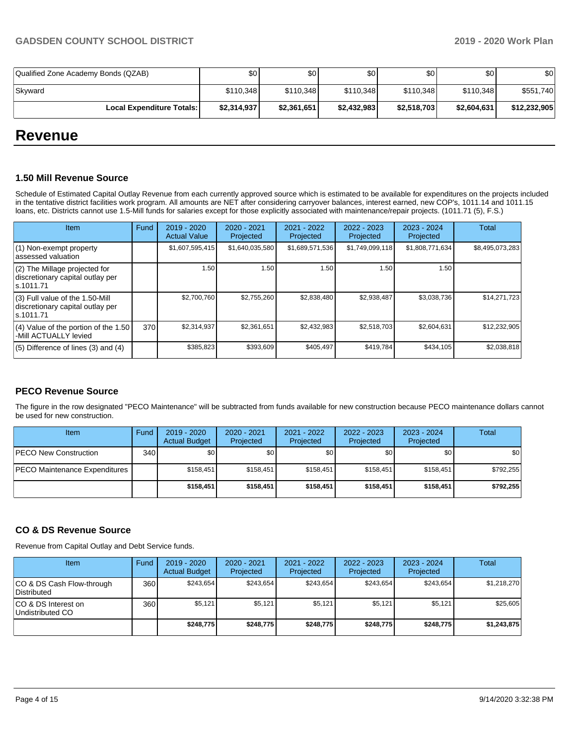| Qualified Zone Academy Bonds (QZAB) | \$٥١        | \$0 I       | \$0         | \$0         | \$0         | \$0          |
|-------------------------------------|-------------|-------------|-------------|-------------|-------------|--------------|
| Skyward                             | \$110,348   | \$110.348   | \$110.348   | \$110.348   | \$110.348   | \$551,740    |
| <b>Local Expenditure Totals:</b>    | \$2,314,937 | \$2,361,651 | \$2,432,983 | \$2,518,703 | \$2,604,631 | \$12,232,905 |

## **Revenue**

#### **1.50 Mill Revenue Source**

Schedule of Estimated Capital Outlay Revenue from each currently approved source which is estimated to be available for expenditures on the projects included in the tentative district facilities work program. All amounts are NET after considering carryover balances, interest earned, new COP's, 1011.14 and 1011.15 loans, etc. Districts cannot use 1.5-Mill funds for salaries except for those explicitly associated with maintenance/repair projects. (1011.71 (5), F.S.)

| Item                                                                                | Fund | $2019 - 2020$<br><b>Actual Value</b> | $2020 - 2021$<br>Projected | 2021 - 2022<br>Projected | $2022 - 2023$<br>Projected | $2023 - 2024$<br>Projected | Total           |
|-------------------------------------------------------------------------------------|------|--------------------------------------|----------------------------|--------------------------|----------------------------|----------------------------|-----------------|
| (1) Non-exempt property<br>lassessed valuation                                      |      | \$1,607,595,415                      | \$1,640,035,580            | \$1,689,571,536          | \$1,749,099,118            | \$1,808,771,634            | \$8,495,073,283 |
| (2) The Millage projected for<br>discretionary capital outlay per<br>ls.1011.71     |      | 1.50                                 | 1.50                       | 1.50                     | 1.50                       | 1.50                       |                 |
| $(3)$ Full value of the 1.50-Mill<br>discretionary capital outlay per<br>ls.1011.71 |      | \$2,700,760                          | \$2,755,260                | \$2,838,480              | \$2,938,487                | \$3,038,736                | \$14,271,723    |
| $(4)$ Value of the portion of the 1.50<br>-Mill ACTUALLY levied                     | 370  | \$2,314,937                          | \$2,361,651                | \$2,432,983              | \$2,518,703                | \$2,604,631                | \$12,232,905    |
| $(5)$ Difference of lines $(3)$ and $(4)$                                           |      | \$385,823                            | \$393,609                  | \$405.497                | \$419,784                  | \$434,105                  | \$2,038,818     |

#### **PECO Revenue Source**

The figure in the row designated "PECO Maintenance" will be subtracted from funds available for new construction because PECO maintenance dollars cannot be used for new construction.

| Item                          | Fund         | 2019 - 2020<br><b>Actual Budget</b> | 2020 - 2021<br>Projected | 2021 - 2022<br>Projected | 2022 - 2023<br>Projected | $2023 - 2024$<br>Projected | Total     |
|-------------------------------|--------------|-------------------------------------|--------------------------|--------------------------|--------------------------|----------------------------|-----------|
| <b>PECO New Construction</b>  | 340 <b>I</b> | \$0                                 | \$0                      | \$0                      | \$0                      | \$0                        | \$0       |
| PECO Maintenance Expenditures |              | \$158.451                           | \$158.451                | \$158.451                | \$158.451                | \$158.451                  | \$792.255 |
|                               |              | \$158.451                           | \$158.451                | \$158,451                | \$158,451                | \$158,451                  | \$792.255 |

## **CO & DS Revenue Source**

Revenue from Capital Outlay and Debt Service funds.

| <b>Item</b>                                     | Fund | $2019 - 2020$<br><b>Actual Budget</b> | $2020 - 2021$<br>Projected | $2021 - 2022$<br>Projected | $2022 - 2023$<br>Projected | $2023 - 2024$<br>Projected | Total       |
|-------------------------------------------------|------|---------------------------------------|----------------------------|----------------------------|----------------------------|----------------------------|-------------|
| CO & DS Cash Flow-through<br><b>Distributed</b> | 360  | \$243.654                             | \$243.654                  | \$243.654                  | \$243.654                  | \$243.654                  | \$1.218.270 |
| CO & DS Interest on<br>Undistributed CO         | 360  | \$5,121                               | \$5,121                    | \$5,121                    | \$5.121                    | \$5,121                    | \$25,605    |
|                                                 |      | \$248,775                             | \$248,775                  | \$248.775                  | \$248.775                  | \$248,775                  | \$1,243,875 |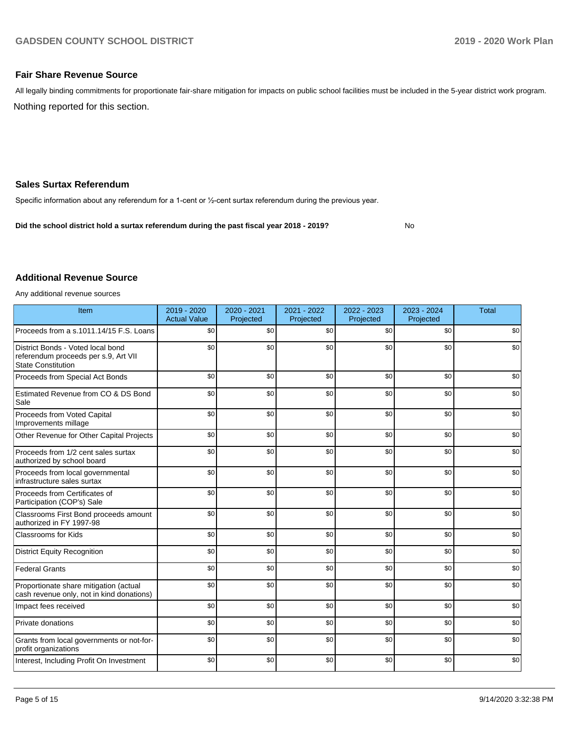No

### **Fair Share Revenue Source**

Nothing reported for this section. All legally binding commitments for proportionate fair-share mitigation for impacts on public school facilities must be included in the 5-year district work program.

#### **Sales Surtax Referendum**

Specific information about any referendum for a 1-cent or ½-cent surtax referendum during the previous year.

**Did the school district hold a surtax referendum during the past fiscal year 2018 - 2019?**

#### **Additional Revenue Source**

Any additional revenue sources

| Item                                                                                                   | 2019 - 2020<br><b>Actual Value</b> | 2020 - 2021<br>Projected | 2021 - 2022<br>Projected | 2022 - 2023<br>Projected | $2023 - 2024$<br>Projected | <b>Total</b> |
|--------------------------------------------------------------------------------------------------------|------------------------------------|--------------------------|--------------------------|--------------------------|----------------------------|--------------|
| Proceeds from a s.1011.14/15 F.S. Loans                                                                | \$0                                | \$0                      | \$0                      | \$0                      | \$0                        | \$0          |
| District Bonds - Voted local bond<br>referendum proceeds per s.9, Art VII<br><b>State Constitution</b> | \$0                                | \$0                      | \$0                      | \$0                      | \$0                        | \$0          |
| Proceeds from Special Act Bonds                                                                        | \$0                                | \$0                      | \$0                      | \$0                      | \$0                        | \$0          |
| Estimated Revenue from CO & DS Bond<br>Sale                                                            | \$0                                | \$0                      | \$0                      | \$0                      | \$0                        | \$0          |
| Proceeds from Voted Capital<br>Improvements millage                                                    | \$0                                | \$0                      | \$0                      | \$0                      | \$0                        | \$0          |
| Other Revenue for Other Capital Projects                                                               | \$0                                | \$0                      | \$0                      | \$0                      | \$0                        | \$0          |
| Proceeds from 1/2 cent sales surtax<br>authorized by school board                                      | \$0                                | \$0                      | \$0                      | \$0                      | \$0                        | \$0          |
| Proceeds from local governmental<br>infrastructure sales surtax                                        | \$0                                | \$0                      | \$0                      | \$0                      | \$0                        | \$0          |
| Proceeds from Certificates of<br>Participation (COP's) Sale                                            | \$0                                | \$0                      | \$0                      | \$0                      | \$0                        | \$0          |
| Classrooms First Bond proceeds amount<br>authorized in FY 1997-98                                      | \$0                                | \$0                      | \$0                      | \$0                      | \$0                        | \$0          |
| <b>Classrooms for Kids</b>                                                                             | \$0                                | \$0                      | \$0                      | \$0                      | \$0                        | \$0          |
| <b>District Equity Recognition</b>                                                                     | \$0                                | \$0                      | \$0                      | \$0                      | \$0                        | \$0          |
| <b>Federal Grants</b>                                                                                  | \$0                                | \$0                      | \$0                      | \$0                      | \$0                        | \$0          |
| Proportionate share mitigation (actual<br>cash revenue only, not in kind donations)                    | \$0                                | \$0                      | \$0                      | \$0                      | \$0                        | \$0          |
| Impact fees received                                                                                   | \$0                                | \$0                      | \$0                      | \$0                      | \$0                        | \$0          |
| Private donations                                                                                      | \$0                                | \$0                      | \$0                      | \$0                      | \$0                        | \$0          |
| Grants from local governments or not-for-<br>profit organizations                                      | \$0                                | \$0                      | \$0                      | \$0                      | \$0                        | \$0          |
| Interest, Including Profit On Investment                                                               | \$0                                | \$0                      | \$0                      | \$0                      | \$0                        | \$0          |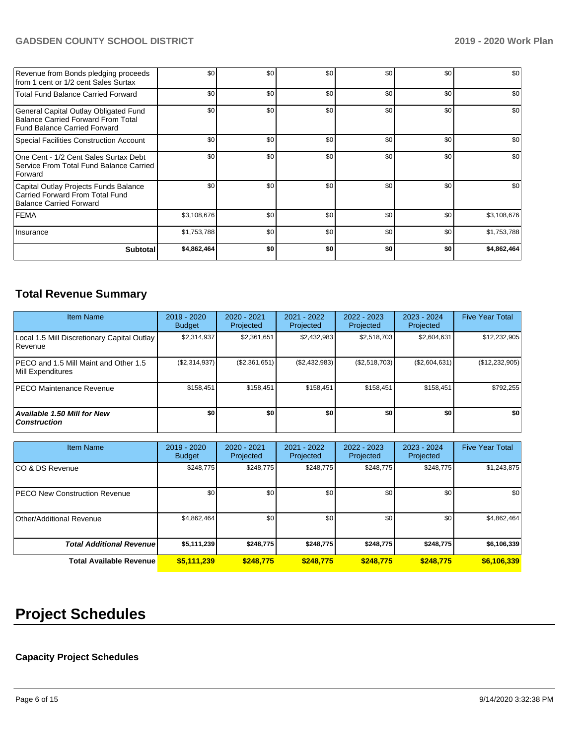## **GADSDEN COUNTY SCHOOL DISTRICT 2019 - 2020 Work Plan**

| Revenue from Bonds pledging proceeds<br>from 1 cent or 1/2 cent Sales Surtax                                | \$0         | \$0 | \$0 | \$0 | \$0 | \$0         |
|-------------------------------------------------------------------------------------------------------------|-------------|-----|-----|-----|-----|-------------|
| <b>Total Fund Balance Carried Forward</b>                                                                   | \$0         | \$0 | \$0 | \$0 | \$0 | \$0         |
| General Capital Outlay Obligated Fund<br>Balance Carried Forward From Total<br>Fund Balance Carried Forward | \$0         | \$0 | \$0 | \$0 | \$0 | \$0         |
| Special Facilities Construction Account                                                                     | \$0         | \$0 | \$0 | \$0 | \$0 | \$0         |
| One Cent - 1/2 Cent Sales Surtax Debt<br>Service From Total Fund Balance Carried<br><b>Forward</b>          | \$0         | \$0 | \$0 | \$0 | \$0 | \$0         |
| Capital Outlay Projects Funds Balance<br>Carried Forward From Total Fund<br>Balance Carried Forward         | \$0         | \$0 | \$0 | \$0 | \$0 | \$0         |
| <b>FEMA</b>                                                                                                 | \$3,108,676 | \$0 | \$0 | \$0 | \$0 | \$3,108,676 |
| Insurance                                                                                                   | \$1,753,788 | \$0 | \$0 | \$0 | \$0 | \$1,753,788 |
| <b>Subtotal</b>                                                                                             | \$4,862,464 | \$0 | \$0 | \$0 | \$O | \$4,862,464 |

## **Total Revenue Summary**

| <b>Item Name</b>                                           | 2019 - 2020<br><b>Budget</b> | 2020 - 2021<br>Projected | 2021 - 2022<br><b>Projected</b> | $2022 - 2023$<br>Projected | 2023 - 2024<br>Projected | <b>Five Year Total</b> |
|------------------------------------------------------------|------------------------------|--------------------------|---------------------------------|----------------------------|--------------------------|------------------------|
| Local 1.5 Mill Discretionary Capital Outlay<br>Revenue     | \$2,314,937                  | \$2,361,651              | \$2,432,983                     | \$2,518,703                | \$2,604,631              | \$12,232,905           |
| PECO and 1.5 Mill Maint and Other 1.5<br>Mill Expenditures | (\$2,314,937)                | (\$2,361,651)            | (\$2,432,983)                   | (\$2,518,703)              | (\$2,604,631)            | (\$12,232,905)         |
| IPECO Maintenance Revenue                                  | \$158.451                    | \$158,451                | \$158,451                       | \$158,451                  | \$158,451                | \$792,255              |
| <b>Available 1.50 Mill for New</b><br><b>Construction</b>  | \$O                          | \$0                      | \$0                             | \$0                        | \$0                      | \$0                    |

| <b>Item Name</b>                     | $2019 - 2020$<br><b>Budget</b> | 2020 - 2021<br>Projected | 2021 - 2022<br>Projected | $2022 - 2023$<br>Projected | 2023 - 2024<br>Projected | <b>Five Year Total</b> |
|--------------------------------------|--------------------------------|--------------------------|--------------------------|----------------------------|--------------------------|------------------------|
| ICO & DS Revenue                     | \$248,775                      | \$248,775                | \$248,775                | \$248,775                  | \$248,775                | \$1,243,875            |
| <b>PECO New Construction Revenue</b> | \$0 <sub>1</sub>               | \$0 <sub>1</sub>         | \$0                      | \$0                        | \$0                      | \$0                    |
| Other/Additional Revenue             | \$4,862,464                    | \$0 <sub>1</sub>         | \$0                      | \$0                        | \$0                      | \$4,862,464            |
| <b>Total Additional Revenuel</b>     | \$5,111,239                    | \$248,775                | \$248,775                | \$248,775                  | \$248,775                | \$6,106,339            |
| Total Available Revenue              | \$5,111,239                    | \$248.775                | \$248,775                | \$248.775                  | \$248,775                | \$6,106,339            |

# **Project Schedules**

## **Capacity Project Schedules**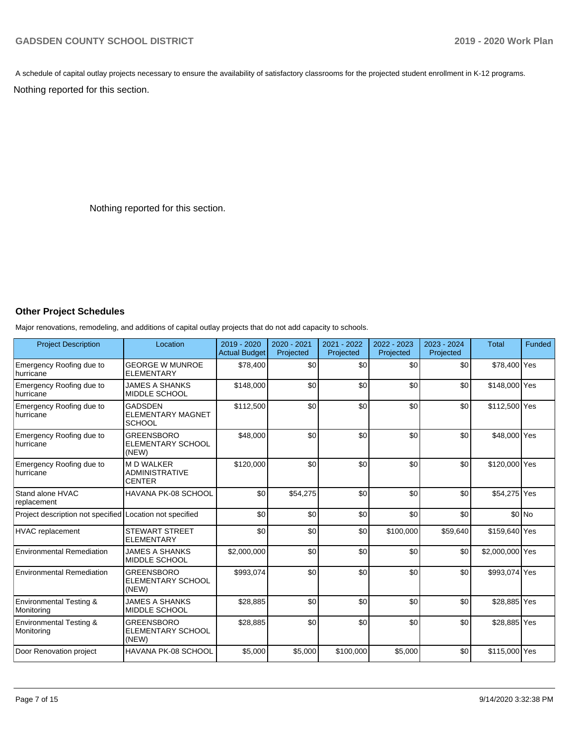A schedule of capital outlay projects necessary to ensure the availability of satisfactory classrooms for the projected student enrollment in K-12 programs.

Nothing reported for this section.

Nothing reported for this section.

#### **Other Project Schedules**

Major renovations, remodeling, and additions of capital outlay projects that do not add capacity to schools.

| <b>Project Description</b>                       | Location                                                   | 2019 - 2020<br><b>Actual Budget</b> | 2020 - 2021<br>Projected | 2021 - 2022<br>Projected | 2022 - 2023<br>Projected | 2023 - 2024<br>Projected | <b>Total</b>    | Funded  |
|--------------------------------------------------|------------------------------------------------------------|-------------------------------------|--------------------------|--------------------------|--------------------------|--------------------------|-----------------|---------|
| Emergency Roofing due to<br>hurricane            | <b>GEORGE W MUNROE</b><br><b>ELEMENTARY</b>                | \$78,400                            | \$0                      | \$0                      | \$0                      | \$0                      | \$78,400 Yes    |         |
| Emergency Roofing due to<br>hurricane            | <b>JAMES A SHANKS</b><br>MIDDLE SCHOOL                     | \$148,000                           | \$0                      | \$0                      | \$0                      | \$0                      | \$148,000 Yes   |         |
| Emergency Roofing due to<br>hurricane            | <b>GADSDEN</b><br><b>ELEMENTARY MAGNET</b><br>SCHOOL       | \$112,500                           | \$0                      | \$0                      | \$0                      | \$0                      | \$112,500 Yes   |         |
| Emergency Roofing due to<br>hurricane            | <b>GREENSBORO</b><br>ELEMENTARY SCHOOL<br>(NEW)            | \$48,000                            | \$0                      | \$0                      | \$0                      | \$0                      | \$48,000 Yes    |         |
| Emergency Roofing due to<br><b>hurricane</b>     | <b>MD WALKER</b><br><b>ADMINISTRATIVE</b><br><b>CENTER</b> | \$120.000                           | \$0                      | \$0                      | \$0                      | \$0                      | \$120,000 Yes   |         |
| Stand alone HVAC<br>replacement                  | HAVANA PK-08 SCHOOL                                        | \$0                                 | \$54,275                 | \$0                      | \$0                      | \$0                      | \$54,275 Yes    |         |
| Project description not specified                | Location not specified                                     | \$0                                 | \$0                      | \$0                      | \$0                      | \$0                      |                 | $$0$ No |
| <b>HVAC</b> replacement                          | <b>STEWART STREET</b><br><b>ELEMENTARY</b>                 | \$0                                 | \$0                      | \$0                      | \$100,000                | \$59,640                 | \$159,640 Yes   |         |
| Environmental Remediation                        | <b>JAMES A SHANKS</b><br>MIDDLE SCHOOL                     | \$2,000,000                         | \$0                      | \$0                      | \$0                      | \$0                      | \$2,000,000 Yes |         |
| <b>Environmental Remediation</b>                 | <b>GREENSBORO</b><br>ELEMENTARY SCHOOL<br>(NEW)            | \$993,074                           | \$0                      | \$0                      | \$0                      | \$0                      | \$993,074 Yes   |         |
| <b>Environmental Testing &amp;</b><br>Monitoring | <b>JAMES A SHANKS</b><br>MIDDLE SCHOOL                     | \$28,885                            | \$0                      | \$0                      | \$0                      | \$0                      | \$28,885 Yes    |         |
| <b>Environmental Testing &amp;</b><br>Monitoring | <b>GREENSBORO</b><br>ELEMENTARY SCHOOL<br>(NEW)            | \$28,885                            | \$0                      | \$0                      | \$0                      | \$0                      | \$28,885 Yes    |         |
| Door Renovation project                          | HAVANA PK-08 SCHOOL                                        | \$5,000                             | \$5,000                  | \$100,000                | \$5,000                  | \$0                      | \$115,000 Yes   |         |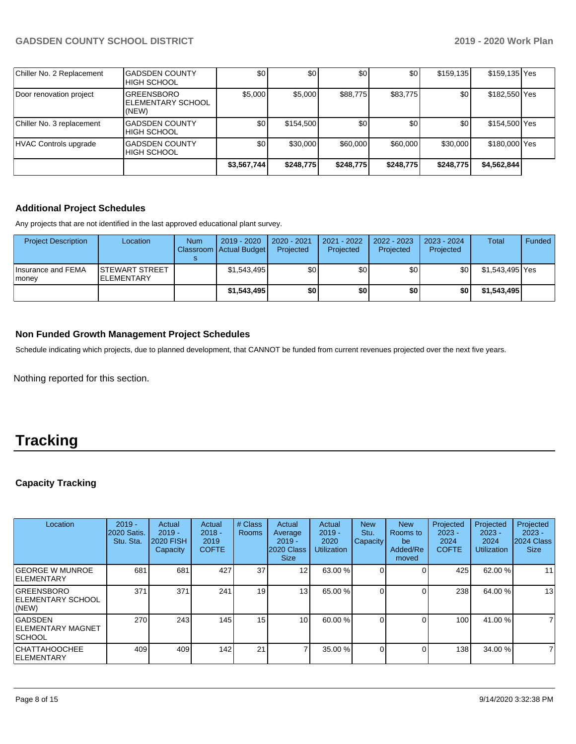| Chiller No. 2 Replacement | <b>GADSDEN COUNTY</b><br><b>HIGH SCHOOL</b>      | \$0              | \$0       | \$0       | \$0       | \$159,135 | \$159,135 Yes |  |
|---------------------------|--------------------------------------------------|------------------|-----------|-----------|-----------|-----------|---------------|--|
| Door renovation project   | <b>GREENSBORO</b><br>IELEMENTARY SCHOOL<br>(NEW) | \$5,000          | \$5,000   | \$88,775  | \$83,775  | \$0       | \$182,550 Yes |  |
| Chiller No. 3 replacement | <b>GADSDEN COUNTY</b><br><b>HIGH SCHOOL</b>      | \$0 <sub>1</sub> | \$154,500 | \$0       | \$0       | \$0       | \$154,500 Yes |  |
| HVAC Controls upgrade     | <b>GADSDEN COUNTY</b><br><b>HIGH SCHOOL</b>      | \$0              | \$30,000  | \$60,000  | \$60,000  | \$30,000  | \$180,000 Yes |  |
|                           |                                                  | \$3,567,744      | \$248,775 | \$248,775 | \$248,775 | \$248,775 | \$4,562,844]  |  |

## **Additional Project Schedules**

Any projects that are not identified in the last approved educational plant survey.

| <b>Project Description</b>   | Location                                    | <b>Num</b> | 2019 - 2020<br>Classroom Actual Budget | 2020 - 2021<br>Projected | 2021 - 2022<br>Projected | $2022 - 2023$<br>Projected | 2023 - 2024<br>Projected | Total           | Funded |
|------------------------------|---------------------------------------------|------------|----------------------------------------|--------------------------|--------------------------|----------------------------|--------------------------|-----------------|--------|
| Insurance and FEMA<br>Imonev | <b>ISTEWART STREET</b><br><b>ELEMENTARY</b> |            | \$1,543,495                            | \$0                      | \$0                      | \$0                        | \$0                      | \$1,543,495 Yes |        |
|                              |                                             |            | \$1,543,495                            | \$0                      | \$0                      | \$0                        | \$0                      | \$1,543,495     |        |

### **Non Funded Growth Management Project Schedules**

Schedule indicating which projects, due to planned development, that CANNOT be funded from current revenues projected over the next five years.

Nothing reported for this section.

# **Tracking**

## **Capacity Tracking**

| Location                                                    | $2019 -$<br><b>2020 Satis.</b><br>Stu. Sta. | Actual<br>$2019 -$<br><b>2020 FISH</b><br>Capacity | Actual<br>$2018 -$<br>2019<br><b>COFTE</b> | # Class<br><b>Rooms</b> | Actual<br>Average<br>$2019 -$<br>2020 Class<br><b>Size</b> | Actual<br>$2019 -$<br>2020<br><b>Utilization</b> | <b>New</b><br>Stu.<br>Capacity | <b>New</b><br>Rooms to<br>be<br>Added/Re<br>moved | Projected<br>$2023 -$<br>2024<br><b>COFTE</b> | Projected<br>$2023 -$<br>2024<br>Utilization | Projected<br>$2023 -$<br>2024 Class<br><b>Size</b> |
|-------------------------------------------------------------|---------------------------------------------|----------------------------------------------------|--------------------------------------------|-------------------------|------------------------------------------------------------|--------------------------------------------------|--------------------------------|---------------------------------------------------|-----------------------------------------------|----------------------------------------------|----------------------------------------------------|
| <b>GEORGE W MUNROE</b><br><b>IELEMENTARY</b>                | 681                                         | 681                                                | 427                                        | 37                      | 12 <sub>l</sub>                                            | 63.00 %                                          |                                |                                                   | 425                                           | 62.00 %                                      | 11                                                 |
| <b>GREENSBORO</b><br><b>IELEMENTARY SCHOOL</b><br>$ $ (NEW) | 371                                         | 371                                                | 241                                        | 19                      | 13 <sub>l</sub>                                            | 65.00 %                                          |                                |                                                   | 238                                           | 64.00 %                                      | 13                                                 |
| <b>GADSDEN</b><br> ELEMENTARY MAGNET<br><b>ISCHOOL</b>      | 270                                         | 243                                                | 145                                        | 15                      | 10 <sup>1</sup>                                            | 60.00 %                                          |                                |                                                   | 100                                           | 41.00 %                                      | 7                                                  |
| CHATTAHOOCHEE<br><b>IELEMENTARY</b>                         | 409                                         | 409                                                | 142                                        | 21                      |                                                            | 35.00 %                                          |                                |                                                   | 138                                           | 34.00 %                                      | $\overline{7}$                                     |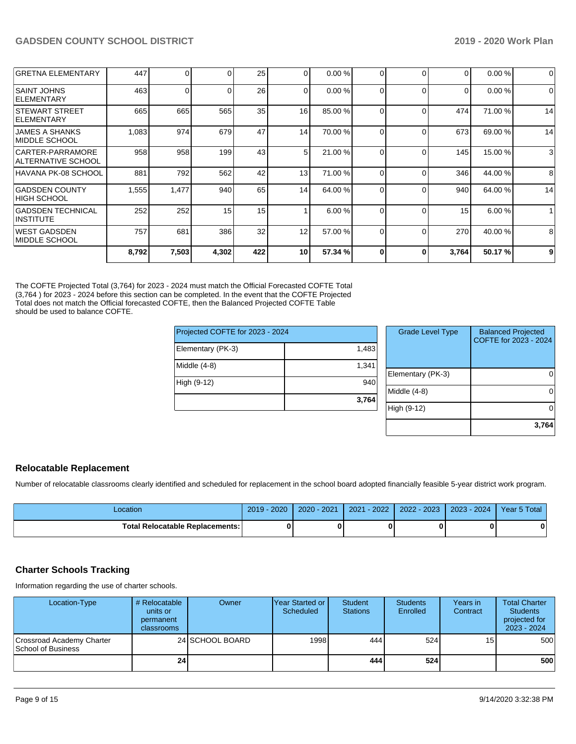|                                             | 8,792 | 7,503 | 4,302 | 422             | 10 <sup>1</sup> | 57.34 % |   | n              | 3,764    | 50.17%  | 9        |
|---------------------------------------------|-------|-------|-------|-----------------|-----------------|---------|---|----------------|----------|---------|----------|
| IWEST GADSDEN<br>IMIDDLE SCHOOL             | 757   | 681   | 386   | 32              | 12              | 57.00 % |   | $\Omega$       | 270      | 40.00 % | 8        |
| <b>GADSDEN TECHNICAL</b><br>IINSTITUTE      | 252   | 252   | 15    | 15              |                 | 6.00%   |   | $\Omega$       | 15       | 6.00 %  |          |
| IGADSDEN COUNTY<br><b>HIGH SCHOOL</b>       | 1,555 | 1,477 | 940   | 65              | 14              | 64.00 % |   |                | 940      | 64.00 % | 14       |
| HAVANA PK-08 SCHOOL                         | 881   | 792   | 562   | 42              | 13              | 71.00 % |   |                | 346      | 44.00 % | 8        |
| CARTER-PARRAMORE<br> ALTERNATIVE SCHOOL     | 958   | 958   | 199   | 43              | 5               | 21.00 % |   |                | 145      | 15.00 % | 3        |
| <b>JAMES A SHANKS</b><br>IMIDDLE SCHOOL     | 1,083 | 974   | 679   | 47              | 14              | 70.00 % |   |                | 673      | 69.00 % | 14       |
| <b>STEWART STREET</b><br><b>IELEMENTARY</b> | 665   | 665   | 565   | 35 <sub>l</sub> | 16              | 85.00 % |   |                | 474      | 71.00 % | 14       |
| <b>ISAINT JOHNS</b><br><b>IELEMENTARY</b>   | 463   | 0     |       | 26              | $\overline{0}$  | 0.00%   |   | $\Omega$       | $\Omega$ | 0.00%   | $\Omega$ |
| <b>GRETNA ELEMENTARY</b>                    | 447   | 0     |       | 25              | $\overline{0}$  | 0.00%   | ∩ | $\overline{0}$ | $\Omega$ | 0.00%   | 0        |

The COFTE Projected Total (3,764) for 2023 - 2024 must match the Official Forecasted COFTE Total (3,764 ) for 2023 - 2024 before this section can be completed. In the event that the COFTE Projected Total does not match the Official forecasted COFTE, then the Balanced Projected COFTE Table should be used to balance COFTE.

| Projected COFTE for 2023 - 2024 |       |          |  |  |  |
|---------------------------------|-------|----------|--|--|--|
| Elementary (PK-3)               | 1,483 |          |  |  |  |
| Middle $(4-8)$                  | 1,341 | Element  |  |  |  |
| High (9-12)                     | 940   | Middle ( |  |  |  |
|                                 | 3,764 |          |  |  |  |
|                                 |       | High (9- |  |  |  |

| <b>Grade Level Type</b> | <b>Balanced Projected</b><br>COFTE for 2023 - 2024 |
|-------------------------|----------------------------------------------------|
| Elementary (PK-3)       |                                                    |
| Middle (4-8)            |                                                    |
| High (9-12)             |                                                    |
|                         | 3,764                                              |

#### **Relocatable Replacement**

Number of relocatable classrooms clearly identified and scheduled for replacement in the school board adopted financially feasible 5-year district work program.

| _ocation                          | $-2020$<br>$2019 -$ | $\cdot$ 2021<br>2020 | $-2022$<br>2021 | 2022 - 2023 | $2023 - 2024$ | Year 5 Total |
|-----------------------------------|---------------------|----------------------|-----------------|-------------|---------------|--------------|
| Total Relocatable Replacements: I |                     |                      |                 |             |               |              |

#### **Charter Schools Tracking**

Information regarding the use of charter schools.

| Location-Type                                   | # Relocatable<br>units or<br>permanent<br>classrooms | Owner           | Year Started or<br>Scheduled | Student<br><b>Stations</b> | <b>Students</b><br>Enrolled | Years in<br>Contract | <b>Total Charter</b><br><b>Students</b><br>projected for<br>$2023 - 2024$ |
|-------------------------------------------------|------------------------------------------------------|-----------------|------------------------------|----------------------------|-----------------------------|----------------------|---------------------------------------------------------------------------|
| Crossroad Academy Charter<br>School of Business |                                                      | 24 SCHOOL BOARD | 1998                         | 4441                       | 524                         | 15                   | 500                                                                       |
|                                                 | 24 <sub>l</sub>                                      |                 |                              | 444 I                      | 524                         |                      | 500                                                                       |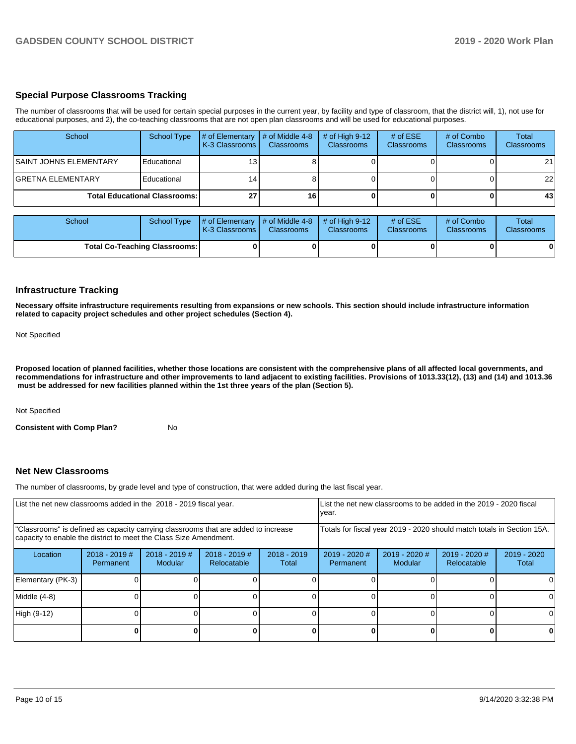#### **Special Purpose Classrooms Tracking**

The number of classrooms that will be used for certain special purposes in the current year, by facility and type of classroom, that the district will, 1), not use for educational purposes, and 2), the co-teaching classrooms that are not open plan classrooms and will be used for educational purposes.

| School                                 | School Type | $\#$ of Elementary $\#$ of Middle 4-8<br><b>K-3 Classrooms</b> | <b>Classrooms</b> | # of High $9-12$<br><b>Classrooms</b> | # of $ESE$<br><b>Classrooms</b> | # of Combo<br><b>Classrooms</b> | Total<br>Classrooms |
|----------------------------------------|-------------|----------------------------------------------------------------|-------------------|---------------------------------------|---------------------------------|---------------------------------|---------------------|
| <b>SAINT JOHNS ELEMENTARY</b>          | Educational | 13                                                             |                   |                                       |                                 |                                 | 21                  |
| <b>IGRETNA ELEMENTARY</b>              | Educational | 14                                                             |                   |                                       |                                 |                                 | 22                  |
| <b>Total Educational Classrooms: I</b> |             | 27                                                             | 16                |                                       |                                 |                                 | 43                  |

| School                               | School Type | $\parallel$ # of Elementary $\parallel$ # of Middle 4-8 $\parallel$ # of High 9-12<br><b>K-3 Classrooms I</b> | <b>Classrooms</b> | <b>Classrooms</b> | # of $ESE$<br><b>Classrooms</b> | # of Combo<br><b>Classrooms</b> | Total<br><b>Classrooms</b> |
|--------------------------------------|-------------|---------------------------------------------------------------------------------------------------------------|-------------------|-------------------|---------------------------------|---------------------------------|----------------------------|
| <b>Total Co-Teaching Classrooms:</b> |             |                                                                                                               |                   |                   |                                 |                                 | 01                         |

#### **Infrastructure Tracking**

**Necessary offsite infrastructure requirements resulting from expansions or new schools. This section should include infrastructure information related to capacity project schedules and other project schedules (Section 4).** 

Not Specified

**Proposed location of planned facilities, whether those locations are consistent with the comprehensive plans of all affected local governments, and recommendations for infrastructure and other improvements to land adjacent to existing facilities. Provisions of 1013.33(12), (13) and (14) and 1013.36** must be addressed for new facilities planned within the 1st three years of the plan (Section 5).

Not Specified

**Consistent with Comp Plan?** No

#### **Net New Classrooms**

The number of classrooms, by grade level and type of construction, that were added during the last fiscal year.

| List the net new classrooms added in the 2018 - 2019 fiscal year.                                                                                       | List the net new classrooms to be added in the 2019 - 2020 fiscal<br>year. |                                   |                              |                        |                                                                        |                          |                                     |                        |
|---------------------------------------------------------------------------------------------------------------------------------------------------------|----------------------------------------------------------------------------|-----------------------------------|------------------------------|------------------------|------------------------------------------------------------------------|--------------------------|-------------------------------------|------------------------|
| "Classrooms" is defined as capacity carrying classrooms that are added to increase<br>capacity to enable the district to meet the Class Size Amendment. |                                                                            |                                   |                              |                        | Totals for fiscal year 2019 - 2020 should match totals in Section 15A. |                          |                                     |                        |
| Location                                                                                                                                                | $2018 - 2019$ #<br>Permanent                                               | $2018 - 2019$ #<br><b>Modular</b> | 2018 - 2019 #<br>Relocatable | $2018 - 2019$<br>Total | 2019 - 2020 #<br>Permanent                                             | 2019 - 2020 #<br>Modular | 2019 - 2020 #<br><b>Relocatable</b> | $2019 - 2020$<br>Total |
| Elementary (PK-3)                                                                                                                                       |                                                                            |                                   |                              |                        |                                                                        |                          |                                     |                        |
| Middle (4-8)                                                                                                                                            |                                                                            |                                   |                              |                        |                                                                        |                          |                                     |                        |
| High (9-12)                                                                                                                                             |                                                                            |                                   |                              |                        |                                                                        |                          |                                     |                        |
|                                                                                                                                                         |                                                                            |                                   |                              |                        |                                                                        |                          |                                     |                        |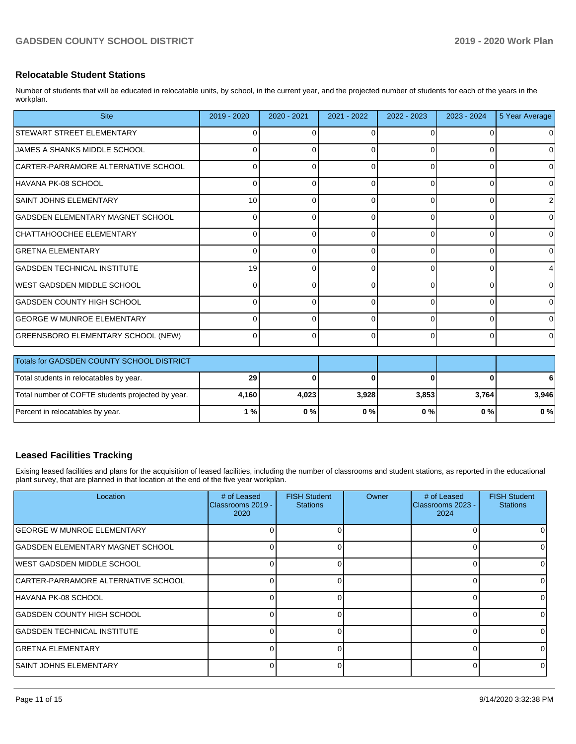#### **Relocatable Student Stations**

Number of students that will be educated in relocatable units, by school, in the current year, and the projected number of students for each of the years in the workplan.

| <b>Site</b>                               | 2019 - 2020 | 2020 - 2021 | 2021 - 2022 | 2022 - 2023 | 2023 - 2024 | 5 Year Average |
|-------------------------------------------|-------------|-------------|-------------|-------------|-------------|----------------|
| <b>STEWART STREET ELEMENTARY</b>          |             |             | ∩           | 0           |             |                |
| IJAMES A SHANKS MIDDLE SCHOOL             |             |             | 0           | 0           | 0           | 0              |
| CARTER-PARRAMORE ALTERNATIVE SCHOOL       | ∩           |             | 0           | 0           | $\Omega$    | 0              |
| HAVANA PK-08 SCHOOL                       |             |             |             | U           | ∩           | O              |
| SAINT JOHNS ELEMENTARY                    | 10          |             | 0           | 0           | $\Omega$    |                |
| GADSDEN ELEMENTARY MAGNET SCHOOL          |             |             | ∩           | $\Omega$    | 0           |                |
| CHATTAHOOCHEE ELEMENTARY                  | 0           |             | 0           | $\Omega$    | $\Omega$    | 0              |
| <b>GRETNA ELEMENTARY</b>                  | n           |             | ∩           | $\Omega$    | $\Omega$    | O              |
| GADSDEN TECHNICAL INSTITUTE               | 19          |             | O           | 0           | 0           |                |
| WEST GADSDEN MIDDLE SCHOOL                | $\Omega$    |             | $\Omega$    | $\Omega$    | $\Omega$    | O              |
| GADSDEN COUNTY HIGH SCHOOL                |             |             |             | U           | U           |                |
| <b>GEORGE W MUNROE ELEMENTARY</b>         | 0           |             | 0           | $\Omega$    | $\Omega$    | 0              |
| GREENSBORO ELEMENTARY SCHOOL (NEW)        | $\Omega$    |             | $\Omega$    | $\Omega$    | $\Omega$    | $\Omega$       |
| Totals for GADSDEN COUNTY SCHOOL DISTRICT |             |             |             |             |             |                |

| <b>Totals for GADSDEN COUNTY SCHOOL DISTRICT</b>  |       |       |       |       |        |       |
|---------------------------------------------------|-------|-------|-------|-------|--------|-------|
| Total students in relocatables by year.           | 29    |       |       |       | o      | 6     |
| Total number of COFTE students projected by year. | 4.160 | 4.023 | 3.928 | 3.853 | 3.7641 | 3.946 |
| Percent in relocatables by year.                  | 1 % I | 0%    | 0%    | 0 % I | 0 % I  | 0%    |

## **Leased Facilities Tracking**

Exising leased facilities and plans for the acquisition of leased facilities, including the number of classrooms and student stations, as reported in the educational plant survey, that are planned in that location at the end of the five year workplan.

| Location                            | # of Leased<br><b>IClassrooms 2019 -</b><br>2020 | <b>FISH Student</b><br><b>Stations</b> | Owner | # of Leased<br>Classrooms 2023 -<br>2024 | <b>FISH Student</b><br><b>Stations</b> |
|-------------------------------------|--------------------------------------------------|----------------------------------------|-------|------------------------------------------|----------------------------------------|
| IGEORGE W MUNROE ELEMENTARY         |                                                  | 0                                      |       | 0                                        | O                                      |
| GADSDEN ELEMENTARY MAGNET SCHOOL    |                                                  | O                                      |       | 0                                        |                                        |
| IWEST GADSDEN MIDDLE SCHOOL         |                                                  | O                                      |       | $\Omega$                                 |                                        |
| CARTER-PARRAMORE ALTERNATIVE SCHOOL |                                                  | U                                      |       | 0                                        | <sup>0</sup>                           |
| HAVANA PK-08 SCHOOL                 |                                                  | 0                                      |       | $\Omega$                                 |                                        |
| GADSDEN COUNTY HIGH SCHOOL          |                                                  |                                        |       | O                                        |                                        |
| GADSDEN TECHNICAL INSTITUTE         |                                                  | O                                      |       | $\Omega$                                 |                                        |
| <b>GRETNA ELEMENTARY</b>            |                                                  | 0                                      |       | 0                                        |                                        |
| ISAINT JOHNS ELEMENTARY             |                                                  | <sup>0</sup>                           |       | $\Omega$                                 | $\Omega$                               |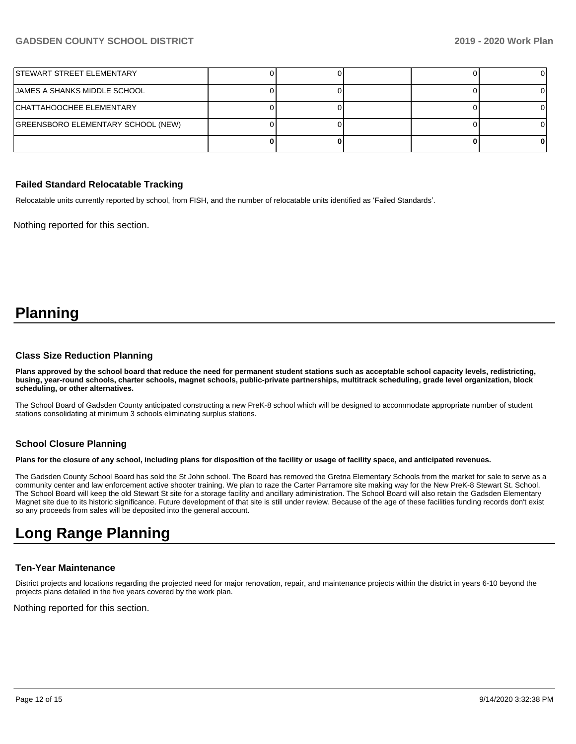| STEWART STREET ELEMENTARY          |  |  |  |
|------------------------------------|--|--|--|
| JAMES A SHANKS MIDDLE SCHOOL       |  |  |  |
| CHATTAHOOCHEE ELEMENTARY           |  |  |  |
| GREENSBORO ELEMENTARY SCHOOL (NEW) |  |  |  |
|                                    |  |  |  |

#### **Failed Standard Relocatable Tracking**

Relocatable units currently reported by school, from FISH, and the number of relocatable units identified as 'Failed Standards'.

Nothing reported for this section.

# **Planning**

#### **Class Size Reduction Planning**

**Plans approved by the school board that reduce the need for permanent student stations such as acceptable school capacity levels, redistricting, busing, year-round schools, charter schools, magnet schools, public-private partnerships, multitrack scheduling, grade level organization, block scheduling, or other alternatives.**

The School Board of Gadsden County anticipated constructing a new PreK-8 school which will be designed to accommodate appropriate number of student stations consolidating at minimum 3 schools eliminating surplus stations.

#### **School Closure Planning**

**Plans for the closure of any school, including plans for disposition of the facility or usage of facility space, and anticipated revenues.** 

The Gadsden County School Board has sold the St John school. The Board has removed the Gretna Elementary Schools from the market for sale to serve as a community center and law enforcement active shooter training. We plan to raze the Carter Parramore site making way for the New PreK-8 Stewart St. School. The School Board will keep the old Stewart St site for a storage facility and ancillary administration. The School Board will also retain the Gadsden Elementary Magnet site due to its historic significance. Future development of that site is still under review. Because of the age of these facilities funding records don't exist so any proceeds from sales will be deposited into the general account.

# **Long Range Planning**

#### **Ten-Year Maintenance**

District projects and locations regarding the projected need for major renovation, repair, and maintenance projects within the district in years 6-10 beyond the projects plans detailed in the five years covered by the work plan.

Nothing reported for this section.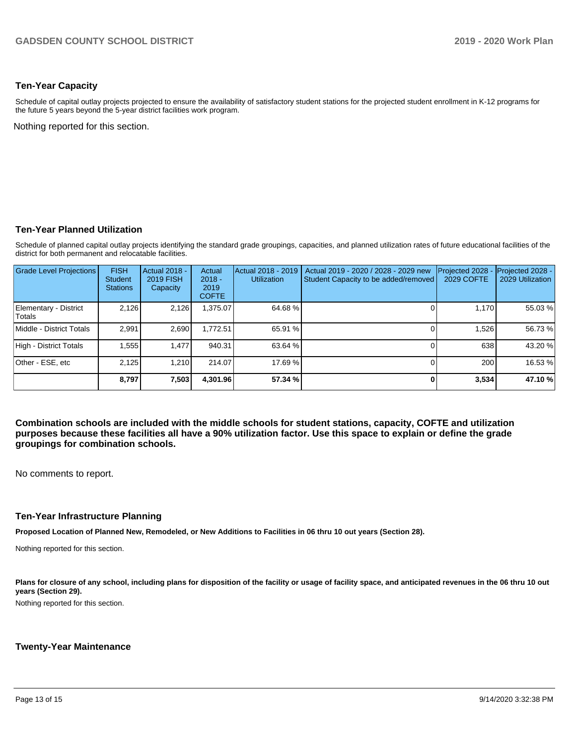### **Ten-Year Capacity**

Schedule of capital outlay projects projected to ensure the availability of satisfactory student stations for the projected student enrollment in K-12 programs for the future 5 years beyond the 5-year district facilities work program.

Nothing reported for this section.

### **Ten-Year Planned Utilization**

Schedule of planned capital outlay projects identifying the standard grade groupings, capacities, and planned utilization rates of future educational facilities of the district for both permanent and relocatable facilities.

| <b>Grade Level Projections</b>  | <b>FISH</b><br>Student<br><b>Stations</b> | Actual 2018 -<br><b>2019 FISH</b><br>Capacity | Actual<br>$2018 -$<br>2019<br><b>COFTE</b> | Actual 2018 - 2019<br><b>Utilization</b> | Actual 2019 - 2020 / 2028 - 2029 new<br>Student Capacity to be added/removed | Projected 2028<br>2029 COFTE | Projected 2028 -<br>2029 Utilization |
|---------------------------------|-------------------------------------------|-----------------------------------------------|--------------------------------------------|------------------------------------------|------------------------------------------------------------------------------|------------------------------|--------------------------------------|
| Elementary - District<br>Totals | 2,126                                     | 2,126                                         | ,375.07                                    | 64.68%                                   |                                                                              | 1,170                        | 55.03 %                              |
| Middle - District Totals        | 2.991                                     | 2,690                                         | 1,772.51                                   | 65.91 %                                  |                                                                              | 1.526                        | 56.73 %                              |
| High - District Totals          | 1,555                                     | 1.477                                         | 940.31                                     | 63.64 %                                  |                                                                              | 638                          | 43.20 %                              |
| Other - ESE, etc                | 2.125                                     | 1.210                                         | 214.07                                     | 17.69 %                                  |                                                                              | 200                          | 16.53 %                              |
|                                 | 8.797                                     | 7,503                                         | 4,301.96                                   | 57.34 %                                  |                                                                              | 3,534                        | 47.10 %                              |

**Combination schools are included with the middle schools for student stations, capacity, COFTE and utilization purposes because these facilities all have a 90% utilization factor. Use this space to explain or define the grade groupings for combination schools.** 

No comments to report.

#### **Ten-Year Infrastructure Planning**

**Proposed Location of Planned New, Remodeled, or New Additions to Facilities in 06 thru 10 out years (Section 28).**

Nothing reported for this section.

Plans for closure of any school, including plans for disposition of the facility or usage of facility space, and anticipated revenues in the 06 thru 10 out **years (Section 29).**

Nothing reported for this section.

#### **Twenty-Year Maintenance**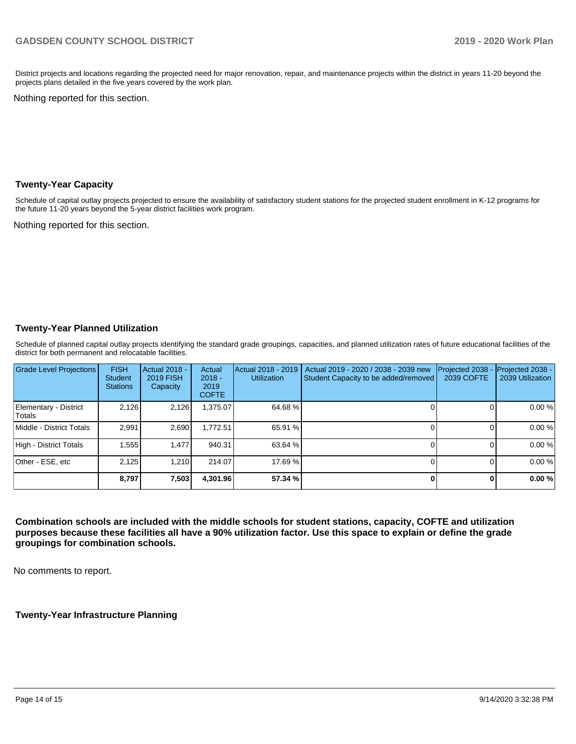District projects and locations regarding the projected need for major renovation, repair, and maintenance projects within the district in years 11-20 beyond the projects plans detailed in the five years covered by the work plan.

Nothing reported for this section.

#### **Twenty-Year Capacity**

Schedule of capital outlay projects projected to ensure the availability of satisfactory student stations for the projected student enrollment in K-12 programs for the future 11-20 years beyond the 5-year district facilities work program.

Nothing reported for this section.

### **Twenty-Year Planned Utilization**

Schedule of planned capital outlay projects identifying the standard grade groupings, capacities, and planned utilization rates of future educational facilities of the district for both permanent and relocatable facilities.

| <b>Grade Level Projections</b>  | <b>FISH</b><br><b>Student</b><br><b>Stations</b> | <b>Actual 2018 -</b><br>2019 FISH<br>Capacity | Actual<br>$2018 -$<br>2019<br><b>COFTE</b> | Actual 2018 - 2019<br><b>Utilization</b> | Actual 2019 - 2020 / 2038 - 2039 new<br>Student Capacity to be added/removed | Projected 2038<br>2039 COFTE | Projected 2038 -<br>2039 Utilization |
|---------------------------------|--------------------------------------------------|-----------------------------------------------|--------------------------------------------|------------------------------------------|------------------------------------------------------------------------------|------------------------------|--------------------------------------|
| Elementary - District<br>Totals | 2.126                                            | 2,126                                         | 375.07                                     | 64.68%                                   |                                                                              |                              | 0.00%                                |
| Middle - District Totals        | 2.991                                            | 2.690                                         | 1.772.51                                   | 65.91 %                                  |                                                                              |                              | 0.00%                                |
| High - District Totals          | 1.555                                            | 1.477                                         | 940.31                                     | 63.64 %                                  |                                                                              |                              | 0.00%                                |
| Other - ESE, etc                | 2.125                                            | 1.210                                         | 214.07                                     | 17.69 %                                  |                                                                              |                              | 0.00%                                |
|                                 | 8,797                                            | 7,503                                         | 4,301.96                                   | 57.34 %                                  |                                                                              |                              | 0.00%                                |

**Combination schools are included with the middle schools for student stations, capacity, COFTE and utilization purposes because these facilities all have a 90% utilization factor. Use this space to explain or define the grade groupings for combination schools.** 

No comments to report.

#### **Twenty-Year Infrastructure Planning**